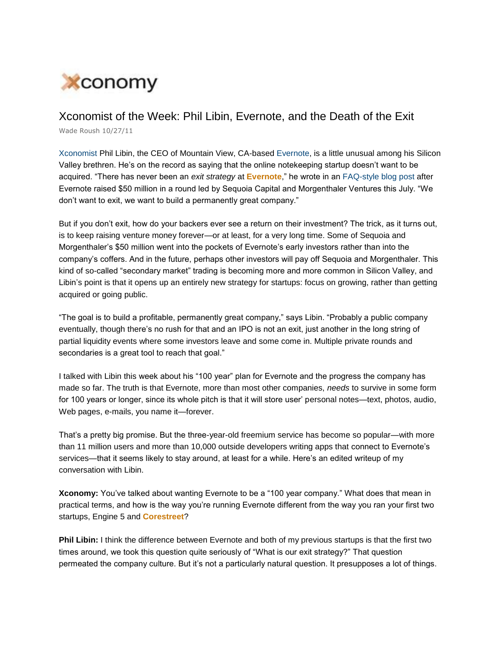

## Xconomist of the Week: Phil Libin, Evernote, and the Death of the Exit

Wade Roush 10/27/11

Xconomist Phil Libin, the CEO of Mountain View, CA-based Evernote, is a little unusual among his Silicon Valley brethren. He's on the record as saying that the online notekeeping startup doesn't want to be acquired. "There has never been an *exit strategy* at **Evernote**," he wrote in an FAQ-style blog post after Evernote raised \$50 million in a round led by Sequoia Capital and Morgenthaler Ventures this July. "We don't want to exit, we want to build a permanently great company."

But if you don't exit, how do your backers ever see a return on their investment? The trick, as it turns out, is to keep raising venture money forever—or at least, for a very long time. Some of Sequoia and Morgenthaler's \$50 million went into the pockets of Evernote's early investors rather than into the company's coffers. And in the future, perhaps other investors will pay off Sequoia and Morgenthaler. This kind of so-called "secondary market" trading is becoming more and more common in Silicon Valley, and Libin's point is that it opens up an entirely new strategy for startups: focus on growing, rather than getting acquired or going public.

"The goal is to build a profitable, permanently great company," says Libin. "Probably a public company eventually, though there's no rush for that and an IPO is not an exit, just another in the long string of partial liquidity events where some investors leave and some come in. Multiple private rounds and secondaries is a great tool to reach that goal."

I talked with Libin this week about his "100 year" plan for Evernote and the progress the company has made so far. The truth is that Evernote, more than most other companies, *needs* to survive in some form for 100 years or longer, since its whole pitch is that it will store user' personal notes—text, photos, audio, Web pages, e-mails, you name it—forever.

That's a pretty big promise. But the three-year-old freemium service has become so popular—with more than 11 million users and more than 10,000 outside developers writing apps that connect to Evernote's services—that it seems likely to stay around, at least for a while. Here's an edited writeup of my conversation with Libin.

**Xconomy:** You've talked about wanting Evernote to be a "100 year company." What does that mean in practical terms, and how is the way you're running Evernote different from the way you ran your first two startups, Engine 5 and **Corestreet**?

**Phil Libin:** I think the difference between Evernote and both of my previous startups is that the first two times around, we took this question quite seriously of "What is our exit strategy?" That question permeated the company culture. But it's not a particularly natural question. It presupposes a lot of things.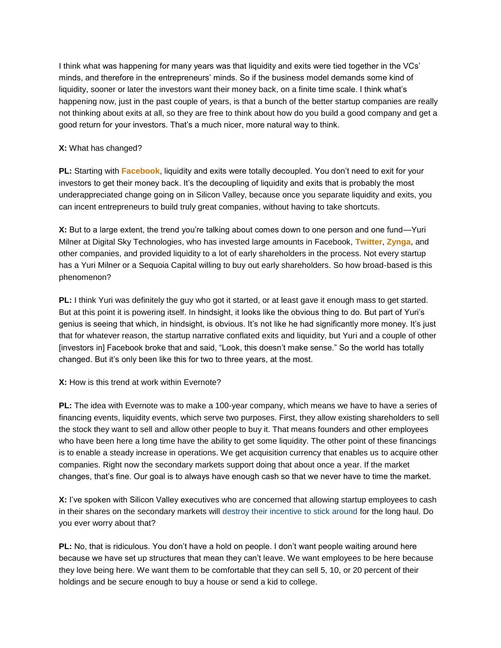I think what was happening for many years was that liquidity and exits were tied together in the VCs' minds, and therefore in the entrepreneurs' minds. So if the business model demands some kind of liquidity, sooner or later the investors want their money back, on a finite time scale. I think what's happening now, just in the past couple of years, is that a bunch of the better startup companies are really not thinking about exits at all, so they are free to think about how do you build a good company and get a good return for your investors. That's a much nicer, more natural way to think.

## **X:** What has changed?

**PL:** Starting with **Facebook**, liquidity and exits were totally decoupled. You don't need to exit for your investors to get their money back. It's the decoupling of liquidity and exits that is probably the most underappreciated change going on in Silicon Valley, because once you separate liquidity and exits, you can incent entrepreneurs to build truly great companies, without having to take shortcuts.

**X:** But to a large extent, the trend you're talking about comes down to one person and one fund—Yuri Milner at Digital Sky Technologies, who has invested large amounts in Facebook, **Twitter**, **Zynga**, and other companies, and provided liquidity to a lot of early shareholders in the process. Not every startup has a Yuri Milner or a Sequoia Capital willing to buy out early shareholders. So how broad-based is this phenomenon?

**PL:** I think Yuri was definitely the guy who got it started, or at least gave it enough mass to get started. But at this point it is powering itself. In hindsight, it looks like the obvious thing to do. But part of Yuri's genius is seeing that which, in hindsight, is obvious. It's not like he had significantly more money. It's just that for whatever reason, the startup narrative conflated exits and liquidity, but Yuri and a couple of other [investors in] Facebook broke that and said, "Look, this doesn't make sense." So the world has totally changed. But it's only been like this for two to three years, at the most.

## **X:** How is this trend at work within Evernote?

**PL:** The idea with Evernote was to make a 100-year company, which means we have to have a series of financing events, liquidity events, which serve two purposes. First, they allow existing shareholders to sell the stock they want to sell and allow other people to buy it. That means founders and other employees who have been here a long time have the ability to get some liquidity. The other point of these financings is to enable a steady increase in operations. We get acquisition currency that enables us to acquire other companies. Right now the secondary markets support doing that about once a year. If the market changes, that's fine. Our goal is to always have enough cash so that we never have to time the market.

**X:** I've spoken with Silicon Valley executives who are concerned that allowing startup employees to cash in their shares on the secondary markets will destroy their incentive to stick around for the long haul. Do you ever worry about that?

**PL:** No, that is ridiculous. You don't have a hold on people. I don't want people waiting around here because we have set up structures that mean they can't leave. We want employees to be here because they love being here. We want them to be comfortable that they can sell 5, 10, or 20 percent of their holdings and be secure enough to buy a house or send a kid to college.